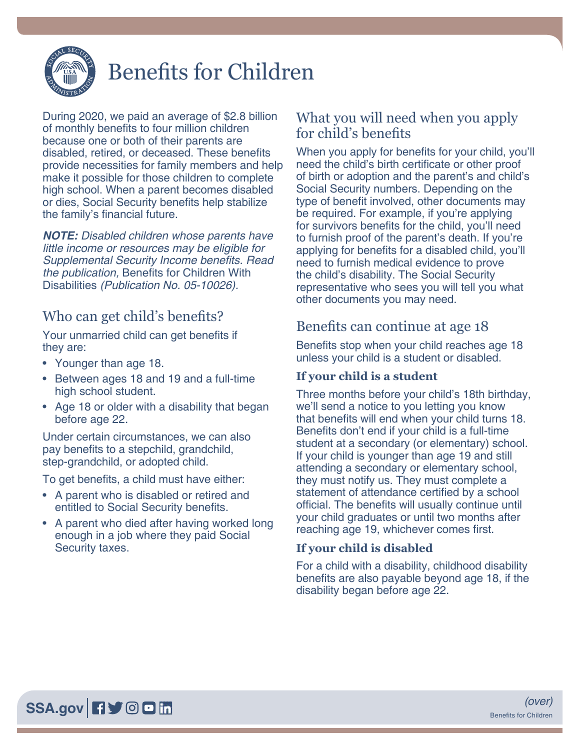

# Benefits for Children

During 2020, we paid an average of \$2.8 billion of monthly benefits to four million children because one or both of their parents are disabled, retired, or deceased. These benefits provide necessities for family members and help make it possible for those children to complete high school. When a parent becomes disabled or dies, Social Security benefits help stabilize the family's financial future.

*NOTE: Disabled children whose parents have little income or resources may be eligible for*  Supplemental Security Income benefits. Read *the publication,* [Benefits for Children With](https://www.ssa.gov/pubs/EN-05-10026.pdf)  Disabilities [\(Publication No. 05-10026\)](https://www.ssa.gov/pubs/EN-05-10026.pdf).

### Who can get child's benefits?

Your unmarried child can get benefits if they are:

- Younger than age 18.
- Between ages 18 and 19 and a full-time high school student.
- Age 18 or older with a disability that began before age 22.

Under certain circumstances, we can also pay benefits to a stepchild, grandchild, step-grandchild, or adopted child.

To get benefits, a child must have either:

- A parent who is disabled or retired and entitled to Social Security benefits.
- A parent who died after having worked long enough in a job where they paid Social Security taxes.

## What you will need when you apply for child's benefits

When you apply for benefits for your child, you'll need the child's birth certificate or other proof of birth or adoption and the parent's and child's Social Security numbers. Depending on the type of benefit involved, other documents may be required. For example, if you're applying for survivors benefits for the child, you'll need to furnish proof of the parent's death. If you're applying for benefits for a disabled child, you'll need to furnish medical evidence to prove the child's disability. The Social Security representative who sees you will tell you what other documents you may need.

## Benefits can continue at age 18

Benefits stop when your child reaches age 18 unless your child is a student or disabled.

#### **If your child is a student**

Three months before your child's 18th birthday, we'll send a notice to you letting you know that benefits will end when your child turns 18. Benefits don't end if your child is a full-time student at a secondary (or elementary) school. If your child is younger than age 19 and still attending a secondary or elementary school, they must notify us. They must complete a statement of attendance certified by a school official. The benefits will usually continue until your child graduates or until two months after reaching age 19, whichever comes first.

#### **If your child is disabled**

For a child with a disability, childhood disability benefits are also payable beyond age 18, if the disability began before age 22.